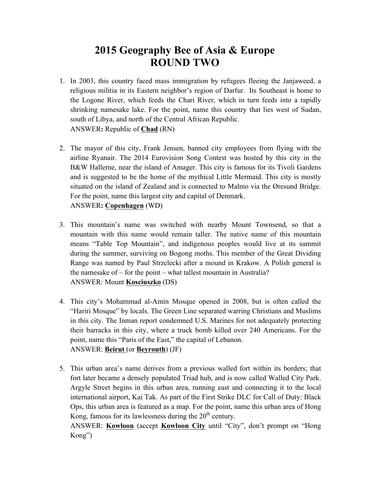## **2015 Geography Bee of Asia & Europe ROUND TWO**

- 1. In 2003, this country faced mass immigration by refugees fleeing the Janjaweed, a religious militia in its Eastern neighbor's region of Darfur. Its Southeast is home to the Logone River, which feeds the Chari River, which in turn feeds into a rapidly shrinking namesake lake. For the point, name this country that lies west of Sudan, south of Libya, and north of the Central African Republic. ANSWER**:** Republic of **Chad** (RN)
- 2. The mayor of this city, Frank Jensen, banned city employees from flying with the airline Ryanair. The 2014 Eurovision Song Contest was hosted by this city in the B&W Hallerne, near the island of Amager. This city is famous for its Tivoli Gardens and is suggested to be the home of the mythical Little Mermaid. This city is mostly situated on the island of Zealand and is connected to Malmo via the Øresund Bridge. For the point, name this largest city and capital of Denmark. ANSWER**: Copenhagen** (WD)
- 3. This mountain's name was switched with nearby Mount Townsend, so that a mountain with this name would remain taller. The native name of this mountain means "Table Top Mountain", and indigenous peoples would live at its summit during the summer, surviving on Bogong moths. This member of the Great Dividing Range was named by Paul Strzelecki after a mound in Krakow. A Polish general is the namesake of – for the point – what tallest mountain in Australia? ANSWER: Mount **Kosciuszko** (DS)
- 4. This city's Mohammad al-Amin Mosque opened in 2008, but is often called the "Hariri Mosque" by locals. The Green Line separated warring Christians and Muslims in this city. The Inman report condemned U.S. Marines for not adequately protecting their barracks in this city, where a truck bomb killed over 240 Americans. For the point, name this "Paris of the East," the capital of Lebanon. ANSWER: **Beirut** (or **Beyrouth**) (JF)
- 5. This urban area's name derives from a previous walled fort within its borders; that fort later became a densely populated Triad hub, and is now called Walled City Park. Argyle Street begins in this urban area, running east and connecting it to the local international airport, Kai Tak. As part of the First Strike DLC for Call of Duty: Black Ops, this urban area is featured as a map. For the point, name this urban area of Hong Kong, famous for its lawlessness during the  $20<sup>th</sup>$  century.

ANSWER: **Kowloon** (accept **Kowloon City** until "City", don't prompt on "Hong Kong")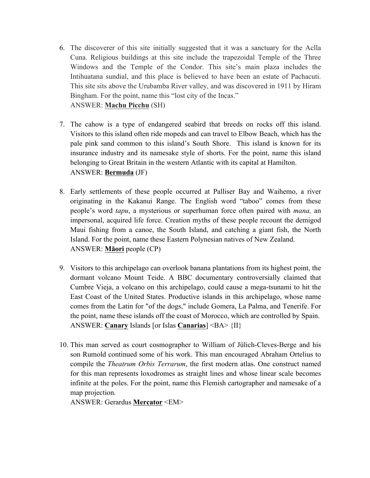- 6. The discoverer of this site initially suggested that it was a sanctuary for the Aclla Cuna. Religious buildings at this site include the trapezoidal Temple of the Three Windows and the Temple of the Condor. This site's main plaza includes the Intihuatana sundial, and this place is believed to have been an estate of Pachacuti. This site sits above the Urubamba River valley, and was discovered in 1911 by Hiram Bingham. For the point, name this "lost city of the Incas." ANSWER: **Machu Picchu** (SH)
- 7. The cahow is a type of endangered seabird that breeds on rocks off this island. Visitors to this island often ride mopeds and can travel to Elbow Beach, which has the pale pink sand common to this island's South Shore. This island is known for its insurance industry and its namesake style of shorts. For the point, name this island belonging to Great Britain in the western Atlantic with its capital at Hamilton. ANSWER: **Bermuda** (JF)
- 8. Early settlements of these people occurred at Palliser Bay and Waihemo, a river originating in the Kakanui Range. The English word "taboo" comes from these people's word *tapu*, a mysterious or superhuman force often paired with *mana,* an impersonal, acquired life force. Creation myths of these people recount the demigod Maui fishing from a canoe, the South Island, and catching a giant fish, the North Island. For the point, name these Eastern Polynesian natives of New Zealand. ANSWER: **Māori** people (CP)
- 9. Visitors to this archipelago can overlook banana plantations from its highest point, the dormant volcano Mount Teide. A BBC documentary controversially claimed that Cumbre Vieja, a volcano on this archipelago, could cause a mega-tsunami to hit the East Coast of the United States. Productive islands in this archipelago, whose name comes from the Latin for "of the dogs," include Gomera, La Palma, and Tenerife. For the point, name these islands off the coast of Morocco, which are controlled by Spain. ANSWER: **Canary** Islands [or Islas **Canarias**] <BA> {II}
- 10. This man served as court cosmographer to William of Jülich-Cleves-Berge and his son Rumold continued some of his work. This man encouraged Abraham Ortelius to compile the *Theatrum Orbis Terrarum*, the first modern atlas. One construct named for this man represents loxodromes as straight lines and whose linear scale becomes infinite at the poles. For the point, name this Flemish cartographer and namesake of a map projection.

ANSWER: Gerardus **Mercator** <EM>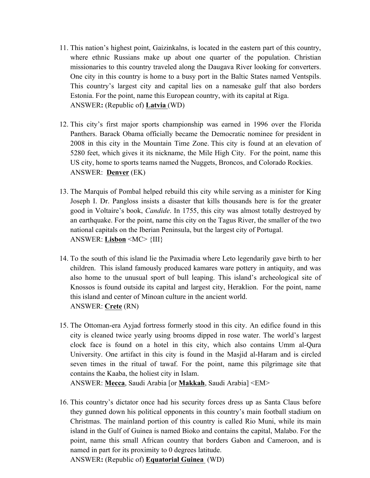- 11. This nation's highest point, Gaizinkalns, is located in the eastern part of this country, where ethnic Russians make up about one quarter of the population. Christian missionaries to this country traveled along the Daugava River looking for converters. One city in this country is home to a busy port in the Baltic States named Ventspils. This country's largest city and capital lies on a namesake gulf that also borders Estonia. For the point, name this European country, with its capital at Riga. ANSWER**:** (Republic of) **Latvia** (WD)
- 12. This city's first major sports championship was earned in 1996 over the Florida Panthers. Barack Obama officially became the Democratic nominee for president in 2008 in this city in the Mountain Time Zone. This city is found at an elevation of 5280 feet, which gives it its nickname, the Mile High City. For the point, name this US city, home to sports teams named the Nuggets, Broncos, and Colorado Rockies. ANSWER: **Denver** (EK)
- 13. The Marquis of Pombal helped rebuild this city while serving as a minister for King Joseph I. Dr. Pangloss insists a disaster that kills thousands here is for the greater good in Voltaire's book, *Candide*. In 1755, this city was almost totally destroyed by an earthquake. For the point, name this city on the Tagus River, the smaller of the two national capitals on the Iberian Peninsula, but the largest city of Portugal. ANSWER: **Lisbon** <MC> {III}
- 14. To the south of this island lie the Paximadia where Leto legendarily gave birth to her children. This island famously produced kamares ware pottery in antiquity, and was also home to the unusual sport of bull leaping. This island's archeological site of Knossos is found outside its capital and largest city, Heraklion. For the point, name this island and center of Minoan culture in the ancient world. ANSWER: **Crete** (RN)
- 15. The Ottoman-era Ayjad fortress formerly stood in this city. An edifice found in this city is cleaned twice yearly using brooms dipped in rose water. The world's largest clock face is found on a hotel in this city, which also contains Umm al-Qura University. One artifact in this city is found in the Masjid al-Haram and is circled seven times in the ritual of tawaf. For the point, name this pilgrimage site that contains the Kaaba, the holiest city in Islam.

ANSWER: **Mecca**, Saudi Arabia [or **Makkah**, Saudi Arabia] <EM>

16. This country's dictator once had his security forces dress up as Santa Claus before they gunned down his political opponents in this country's main football stadium on Christmas. The mainland portion of this country is called Rio Muni, while its main island in the Gulf of Guinea is named Bioko and contains the capital, Malabo. For the point, name this small African country that borders Gabon and Cameroon, and is named in part for its proximity to 0 degrees latitude. ANSWER**:** (Republic of) **Equatorial Guinea** (WD)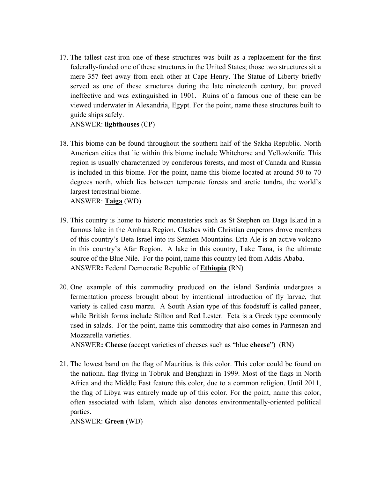17. The tallest cast-iron one of these structures was built as a replacement for the first federally-funded one of these structures in the United States; those two structures sit a mere 357 feet away from each other at Cape Henry. The Statue of Liberty briefly served as one of these structures during the late nineteenth century, but proved ineffective and was extinguished in 1901. Ruins of a famous one of these can be viewed underwater in Alexandria, Egypt. For the point, name these structures built to guide ships safely.

ANSWER: **lighthouses** (CP)

18. This biome can be found throughout the southern half of the Sakha Republic. North American cities that lie within this biome include Whitehorse and Yellowknife. This region is usually characterized by coniferous forests, and most of Canada and Russia is included in this biome. For the point, name this biome located at around 50 to 70 degrees north, which lies between temperate forests and arctic tundra, the world's largest terrestrial biome.

ANSWER: **Taiga** (WD)

- 19. This country is home to historic monasteries such as St Stephen on Daga Island in a famous lake in the Amhara Region. Clashes with Christian emperors drove members of this country's Beta Israel into its Semien Mountains. Erta Ale is an active volcano in this country's Afar Region. A lake in this country, Lake Tana, is the ultimate source of the Blue Nile. For the point, name this country led from Addis Ababa. ANSWER**:** Federal Democratic Republic of **Ethiopia** (RN)
- 20. One example of this commodity produced on the island Sardinia undergoes a fermentation process brought about by intentional introduction of fly larvae, that variety is called casu marzu. A South Asian type of this foodstuff is called paneer, while British forms include Stilton and Red Lester. Feta is a Greek type commonly used in salads. For the point, name this commodity that also comes in Parmesan and Mozzarella varieties.

ANSWER**: Cheese** (accept varieties of cheeses such as "blue **cheese**") (RN)

21. The lowest band on the flag of Mauritius is this color. This color could be found on the national flag flying in Tobruk and Benghazi in 1999. Most of the flags in North Africa and the Middle East feature this color, due to a common religion. Until 2011, the flag of Libya was entirely made up of this color. For the point, name this color, often associated with Islam, which also denotes environmentally-oriented political parties.

ANSWER: **Green** (WD)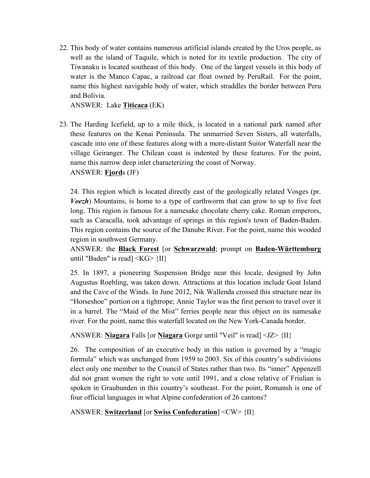22. This body of water contains numerous artificial islands created by the Uros people, as well as the island of Taquile, which is noted for its textile production. The city of Tiwanaku is located southeast of this body. One of the largest vessels in this body of water is the Manco Capac, a railroad car float owned by PeruRail. For the point, name this highest navigable body of water, which straddles the border between Peru and Bolivia.

ANSWER: Lake **Titicaca** (EK)

23. The Harding Icefield, up to a mile thick, is located in a national park named after these features on the Kenai Peninsula. The unmarried Seven Sisters, all waterfalls, cascade into one of these features along with a more-distant Suitor Waterfall near the village Geiranger. The Chilean coast is indented by these features. For the point, name this narrow deep inlet characterizing the coast of Norway. ANSWER: **Fjord**s (JF)

24. This region which is located directly east of the geologically related Vosges (pr. *Voezh*) Mountains, is home to a type of earthworm that can grow to up to five feet long. This region is famous for a namesake chocolate cherry cake. Roman emperors, such as Caracalla, took advantage of springs in this region's town of Baden-Baden. This region contains the source of the Danube River. For the point, name this wooded region in southwest Germany.

ANSWER: the **Black Forest** [or **Schwarzwald**; prompt on **Baden-Württemburg** until "Baden" is read]  $\langle KG \rangle$  {II}

25. In 1897, a pioneering Suspension Bridge near this locale, designed by John Augustus Roebling, was taken down. Attractions at this location include Goat Island and the Cave of the Winds. In June 2012, Nik Wallenda crossed this structure near its "Horseshoe" portion on a tightrope; Annie Taylor was the first person to travel over it in a barrel. The "Maid of the Mist" ferries people near this object on its namesake river. For the point, name this waterfall located on the New York-Canada border.

ANSWER: **Niagara** Falls [or **Niagara** Gorge until "Veil" is read] <JZ> {II}

26. The composition of an executive body in this nation is governed by a "magic formula" which was unchanged from 1959 to 2003. Six of this country's subdivisions elect only one member to the Council of States rather than two. Its "inner" Appenzell did not grant women the right to vote until 1991, and a close relative of Friulian is spoken in Graubunden in this country's southeast. For the point, Romansh is one of four official languages in what Alpine confederation of 26 cantons?

ANSWER: **Switzerland** [or **Swiss Confederation**] <CW> {II}